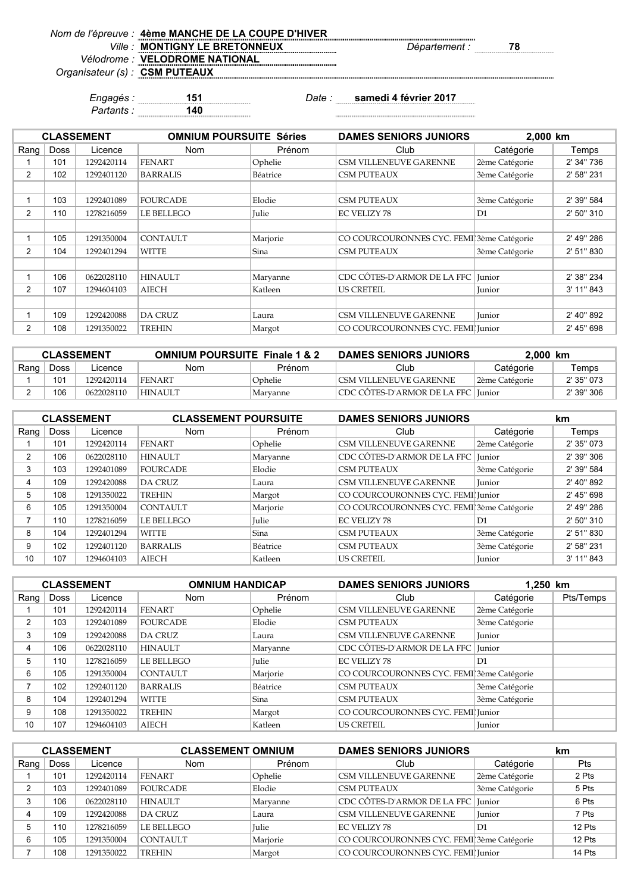| Nom de l'épreuve : 4ème MANCHE DE LA COUPE D'HIVER |                      |    |
|----------------------------------------------------|----------------------|----|
| Ville: MONTIGNY LE BRETONNEUX                      | <i>Département :</i> | 78 |
| Vélodrome : VELODROME NATIONAL                     |                      |    |
| Organisateur (s) : CSM PUTEAUX                     |                      |    |

*Partants :* **140**

*Engagés :* **151** *Date :* **samedi 4 février 2017**

|      |             | <b>CLASSEMENT</b> | <b>OMNIUM POURSUITE Séries</b> |              | <b>DAMES SENIORS JUNIORS</b>              | 2.000 km       |            |
|------|-------------|-------------------|--------------------------------|--------------|-------------------------------------------|----------------|------------|
| Rang | <b>Doss</b> | Licence           | <b>Nom</b>                     | Prénom       | Club                                      | Catégorie      | Temps      |
|      | 101         | 1292420114        | <b>FENART</b>                  | Ophelie      | <b>CSM VILLENEUVE GARENNE</b>             | 2ème Catégorie | 2' 34" 736 |
| 2    | 102         | 1292401120        | <b>BARRALIS</b>                | Béatrice     | <b>CSM PUTEAUX</b>                        | 3ème Catégorie | 2' 58" 231 |
|      |             |                   |                                |              |                                           |                |            |
|      | 103         | 1292401089        | <b>FOURCADE</b>                | Elodie       | <b>CSM PUTEAUX</b>                        | 3ème Catégorie | 2' 39" 584 |
| 2    | 110         | 1278216059        | <b>LE BELLEGO</b>              | <b>Julie</b> | <b>EC VELIZY 78</b>                       | D1             | 2' 50" 310 |
|      |             |                   |                                |              |                                           |                |            |
|      | 105         | 1291350004        | <b>CONTAULT</b>                | Marjorie     | CO COURCOURONNES CYC. FEMI 3ème Catégorie |                | 2' 49" 286 |
| 2    | 104         | 1292401294        | <b>WITTE</b>                   | Sina         | <b>CSM PUTEAUX</b>                        | 3ème Catégorie | 2' 51" 830 |
|      |             |                   |                                |              |                                           |                |            |
|      | 106         | 0622028110        | <b>HINAULT</b>                 | Maryanne     | CDC CÔTES-D'ARMOR DE LA FFC               | Junior         | 2' 38" 234 |
| 2    | 107         | 1294604103        | <b>AIECH</b>                   | Katleen      | <b>US CRETEIL</b>                         | Junior         | 3' 11" 843 |
|      |             |                   |                                |              |                                           |                |            |
|      | 109         | 1292420088        | <b>DA CRUZ</b>                 | Laura        | <b>CSM VILLENEUVE GARENNE</b>             | Junior         | 2' 40" 892 |
| 2    | 108         | 1291350022        | <b>TREHIN</b>                  | Margot       | CO COURCOURONNES CYC. FEMI Junior         |                | 2' 45" 698 |

| <b>CLASSEMENT</b> |             |            | <b>OMNIUM POURSUITE Finale 1 &amp; 2</b> |          | <b>DAMES SENIORS JUNIORS</b>         | 2.000 km       |            |
|-------------------|-------------|------------|------------------------------------------|----------|--------------------------------------|----------------|------------|
| Rang,             | <b>Doss</b> | Licence    | Nom                                      | Prénom   | Club                                 | Catégorie      | Temps      |
|                   | 101         | 1292420114 | <b>FENART</b>                            | Ophelie  | CSM VILLENEUVE GARENNE               | 2ème Catégorie | 2' 35" 073 |
|                   | 106         | 0622028110 | <b>HINAULT</b>                           | Marvanne | CDC CÔTES-D'ARMOR DE LA FFC   Junior |                | 2' 39" 306 |

|      |             | <b>CLASSEMENT</b> | <b>CLASSEMENT POURSUITE</b> |          | <b>DAMES SENIORS JUNIORS</b>              |                | km         |
|------|-------------|-------------------|-----------------------------|----------|-------------------------------------------|----------------|------------|
| Rang | <b>Doss</b> | Licence           | <b>Nom</b>                  | Prénom   | Club                                      | Catégorie      | Temps      |
|      | 101         | 1292420114        | <b>FENART</b>               | Ophelie  | <b>CSM VILLENEUVE GARENNE</b>             | 2ème Catégorie | 2' 35" 073 |
| 2    | 106         | 0622028110        | <b>HINAULT</b>              | Maryanne | CDC CÔTES-D'ARMOR DE LA FFC               | Iunior         | 2' 39" 306 |
| 3    | 103         | 1292401089        | <b>FOURCADE</b>             | Elodie   | <b>CSM PUTEAUX</b>                        | 3ème Catégorie | 2' 39" 584 |
| 4    | 109         | 1292420088        | <b>DA CRUZ</b>              | Laura    | CSM VILLENEUVE GARENNE                    | <b>Iunior</b>  | 2' 40" 892 |
| 5    | 108         | 1291350022        | <b>TREHIN</b>               | Margot   | CO COURCOURONNES CYC. FEMI Junior         |                | 2' 45" 698 |
| 6    | 105         | 1291350004        | <b>CONTAULT</b>             | Marjorie | CO COURCOURONNES CYC. FEMI 3ème Catégorie |                | 2' 49" 286 |
|      | 110         | 1278216059        | <b>LE BELLEGO</b>           | Julie    | <b>EC VELIZY 78</b>                       | D <sub>1</sub> | 2' 50" 310 |
| 8    | 104         | 1292401294        | <b>WITTE</b>                | Sina     | <b>CSM PUTEAUX</b>                        | 3ème Catégorie | 2' 51" 830 |
| 9    | 102         | 1292401120        | <b>BARRALIS</b>             | Béatrice | <b>CSM PUTEAUX</b>                        | 3ème Catégorie | 2' 58" 231 |
| 10   | 107         | 1294604103        | <b>AIECH</b>                | Katleen  | <b>US CRETEIL</b>                         | <b>Iunior</b>  | 3' 11" 843 |

|      | <b>CLASSEMENT</b> |            | <b>OMNIUM HANDICAP</b> |              | <b>DAMES SENIORS JUNIORS</b>              | 1,250 km       |           |
|------|-------------------|------------|------------------------|--------------|-------------------------------------------|----------------|-----------|
| Rang | <b>Doss</b>       | Licence    | <b>Nom</b>             | Prénom       | Club                                      | Catégorie      | Pts/Temps |
|      | 101               | 1292420114 | <b>FENART</b>          | Ophelie      | <b>CSM VILLENEUVE GARENNE</b>             | 2ème Catégorie |           |
| 2    | 103               | 1292401089 | <b>FOURCADE</b>        | Elodie       | <b>CSM PUTEAUX</b>                        | 3ème Catégorie |           |
| 3    | 109               | 1292420088 | <b>DA CRUZ</b>         | Laura        | CSM VILLENEUVE GARENNE                    | Junior         |           |
| 4    | 106               | 0622028110 | <b>HINAULT</b>         | Maryanne     | CDC CÔTES-D'ARMOR DE LA FFC Junior        |                |           |
| 5    | 110               | 1278216059 | <b>LE BELLEGO</b>      | <b>Julie</b> | EC VELIZY 78                              | D1             |           |
| 6    | 105               | 1291350004 | <b>CONTAULT</b>        | Marjorie     | CO COURCOURONNES CYC. FEMI 3ème Catégorie |                |           |
|      | 102               | 1292401120 | <b>BARRALIS</b>        | Béatrice     | <b>CSM PUTEAUX</b>                        | 3ème Catégorie |           |
| 8    | 104               | 1292401294 | <b>WITTE</b>           | Sina         | <b>CSM PUTEAUX</b>                        | 3ème Catégorie |           |
| 9    | 108               | 1291350022 | <b>TREHIN</b>          | Margot       | CO COURCOURONNES CYC. FEMI Junior         |                |           |
| 10   | 107               | 1294604103 | <b>AIECH</b>           | Katleen      | <b>US CRETEIL</b>                         | Junior         |           |

|      |      | <b>CLASSEMENT</b> | <b>CLASSEMENT OMNIUM</b> |              | <b>DAMES SENIORS JUNIORS</b>              |                | km     |
|------|------|-------------------|--------------------------|--------------|-------------------------------------------|----------------|--------|
| Rang | Doss | Licence           | <b>Nom</b>               | Prénom       | Club                                      | Catégorie      | Pts    |
|      | 101  | 1292420114        | <b>FENART</b>            | Ophelie      | CSM VILLENEUVE GARENNE                    | 2ème Catégorie | 2 Pts  |
| ົ    | 103  | 1292401089        | <b>FOURCADE</b>          | Elodie       | <b>CSM PUTEAUX</b>                        | 3ème Catégorie | 5 Pts  |
|      | 106  | 0622028110        | <b>HINAULT</b>           | Maryanne     | CDC CÔTES-D'ARMOR DE LA FFC   Junior      |                | 6 Pts  |
|      | 109  | 1292420088        | <b>DA CRUZ</b>           | Laura        | CSM VILLENEUVE GARENNE                    | Iunior         | 7 Pts  |
|      | 110  | 1278216059        | LE BELLEGO               | <b>Julie</b> | <b>EC VELIZY 78</b>                       | D1             | 12 Pts |
|      | 105  | 1291350004        | <b>CONTAULT</b>          | Marjorie     | CO COURCOURONNES CYC. FEMI 3ème Catégorie |                | 12 Pts |
|      | 108  | 1291350022        | <b>TREHIN</b>            | Margot       | CO COURCOURONNES CYC. FEMI Junior         |                | 14 Pts |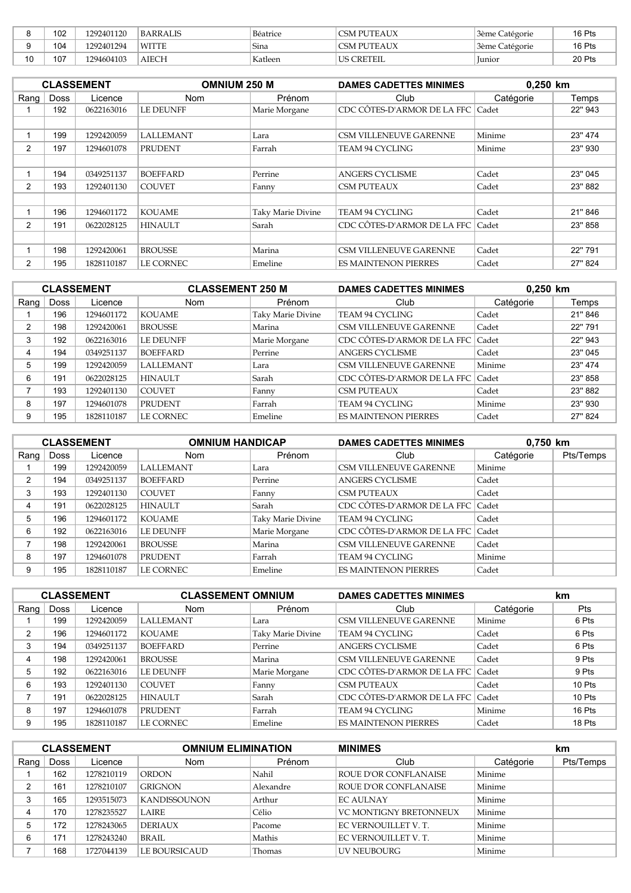|        | 102 | 1292401120 | BARRALIS     | Béatrice | CSM PUTEAUX        | <sup>1</sup> 3ème Catégorie | 16 Pts |
|--------|-----|------------|--------------|----------|--------------------|-----------------------------|--------|
|        | 104 | 1292401294 | <b>WITTE</b> | Sina     | <b>CSM PUTEAUX</b> | 3ème Catégorie              | 16 Pts |
| ៱<br>υ | 107 | 1294604103 | AIECH        | Katleen  | <b>US CRETEIL</b>  | lunior                      | 20 Pts |

|      |             | <b>CLASSEMENT</b> | <b>OMNIUM 250 M</b> |                   | <b>DAMES CADETTES MINIMES</b>     |           | $0.250$ km |  |
|------|-------------|-------------------|---------------------|-------------------|-----------------------------------|-----------|------------|--|
| Rang | <b>Doss</b> | Licence           | <b>Nom</b>          | Prénom            | Club                              | Catégorie | Temps      |  |
|      | 192         | 0622163016        | <b>LE DEUNFF</b>    | Marie Morgane     | CDC CÔTES-D'ARMOR DE LA FFC Cadet |           | 22" 943    |  |
|      |             |                   |                     |                   |                                   |           |            |  |
|      | 199         | 1292420059        | <b>LALLEMANT</b>    | Lara              | <b>CSM VILLENEUVE GARENNE</b>     | Minime    | 23" 474    |  |
| 2    | 197         | 1294601078        | <b>PRUDENT</b>      | Farrah            | TEAM 94 CYCLING                   | Minime    | 23" 930    |  |
|      |             |                   |                     |                   |                                   |           |            |  |
|      | 194         | 0349251137        | <b>BOEFFARD</b>     | Perrine           | ANGERS CYCLISME                   | Cadet     | 23" 045    |  |
| 2    | 193         | 1292401130        | <b>COUVET</b>       | Fanny             | <b>CSM PUTEAUX</b>                | Cadet     | 23" 882    |  |
|      |             |                   |                     |                   |                                   |           |            |  |
|      | 196         | 1294601172        | <b>KOUAME</b>       | Taky Marie Divine | <b>TEAM 94 CYCLING</b>            | Cadet     | 21" 846    |  |
| 2    | 191         | 0622028125        | <b>HINAULT</b>      | Sarah             | CDC CÔTES-D'ARMOR DE LA FFC       | Cadet     | 23" 858    |  |
|      |             |                   |                     |                   |                                   |           |            |  |
|      | 198         | 1292420061        | <b>BROUSSE</b>      | Marina            | <b>CSM VILLENEUVE GARENNE</b>     | Cadet     | 22" 791    |  |
| 2    | 195         | 1828110187        | LE CORNEC           | Emeline           | <b>ES MAINTENON PIERRES</b>       | Cadet     | 27" 824    |  |

| <b>CLASSEMENT</b> |             |            | <b>CLASSEMENT 250 M</b> |                   | <b>DAMES CADETTES MINIMES</b>     |           | 0,250 km |  |
|-------------------|-------------|------------|-------------------------|-------------------|-----------------------------------|-----------|----------|--|
| Rang              | <b>Doss</b> | Licence    | <b>Nom</b>              | Prénom            | Club                              | Catégorie | Temps    |  |
|                   | 196         | 1294601172 | <b>KOUAME</b>           | Taky Marie Divine | TEAM 94 CYCLING                   | Cadet     | 21" 846  |  |
| ົ                 | 198         | 1292420061 | <b>BROUSSE</b>          | Marina            | <b>CSM VILLENEUVE GARENNE</b>     | Cadet     | 22" 791  |  |
| 3                 | 192         | 0622163016 | <b>LE DEUNFF</b>        | Marie Morgane     | CDC CÔTES-D'ARMOR DE LA FFC Cadet |           | 22" 943  |  |
|                   | 194         | 0349251137 | <b>BOEFFARD</b>         | Perrine           | <b>ANGERS CYCLISME</b>            | Cadet     | 23" 045  |  |
| 5                 | 199         | 1292420059 | <b>LALLEMANT</b>        | Lara              | CSM VILLENEUVE GARENNE            | Minime    | 23" 474  |  |
| 6                 | 191         | 0622028125 | <b>HINAULT</b>          | Sarah             | CDC CÔTES-D'ARMOR DE LA FFC Cadet |           | 23" 858  |  |
|                   | 193         | 1292401130 | <b>COUVET</b>           | Fanny             | <b>CSM PUTEAUX</b>                | Cadet     | 23" 882  |  |
| 8                 | 197         | 1294601078 | <b>PRUDENT</b>          | Farrah            | TEAM 94 CYCLING                   | Minime    | 23" 930  |  |
| 9                 | 195         | 1828110187 | LE CORNEC               | Emeline           | <b>ES MAINTENON PIERRES</b>       | Cadet     | 27" 824  |  |

|          |             | <b>CLASSEMENT</b> | <b>OMNIUM HANDICAP</b> |                   | <b>DAMES CADETTES MINIMES</b>     |           | 0,750 km  |  |
|----------|-------------|-------------------|------------------------|-------------------|-----------------------------------|-----------|-----------|--|
| Rang $ $ | <b>Doss</b> | Licence           | <b>Nom</b>             | Prénom            | Club                              | Catégorie | Pts/Temps |  |
|          | 199         | 1292420059        | <b>LALLEMANT</b>       | Lara              | <b>CSM VILLENEUVE GARENNE</b>     | Minime    |           |  |
|          | 194         | 0349251137        | <b>BOEFFARD</b>        | Perrine           | <b>ANGERS CYCLISME</b>            | Cadet     |           |  |
| 3        | 193         | 1292401130        | <b>COUVET</b>          | Fanny             | <b>CSM PUTEAUX</b>                | Cadet     |           |  |
| 4        | 191         | 0622028125        | <b>HINAULT</b>         | Sarah             | CDC CÔTES-D'ARMOR DE LA FFC Cadet |           |           |  |
| 5        | 196         | 1294601172        | <b>KOUAME</b>          | Taky Marie Divine | TEAM 94 CYCLING                   | Cadet     |           |  |
| 6        | 192         | 0622163016        | <b>LE DEUNFF</b>       | Marie Morgane     | CDC CÔTES-D'ARMOR DE LA FFC Cadet |           |           |  |
|          | 198         | 1292420061        | <b>BROUSSE</b>         | Marina            | <b>CSM VILLENEUVE GARENNE</b>     | Cadet     |           |  |
| 8        | 197         | 1294601078        | <b>PRUDENT</b>         | Farrah            | TEAM 94 CYCLING                   | Minime    |           |  |
| 9        | 195         | 1828110187        | LE CORNEC              | Emeline           | <b>ES MAINTENON PIERRES</b>       | Cadet     |           |  |

|          |             | <b>CLASSEMENT</b> | <b>CLASSEMENT OMNIUM</b> |                   | <b>DAMES CADETTES MINIMES</b>     |           | km     |
|----------|-------------|-------------------|--------------------------|-------------------|-----------------------------------|-----------|--------|
| Rang $ $ | <b>Doss</b> | Licence           | <b>Nom</b>               | Prénom            | Club                              | Catégorie | Pts    |
|          | 199         | 1292420059        | <b>LALLEMANT</b>         | Lara              | <b>CSM VILLENEUVE GARENNE</b>     | Minime    | 6 Pts  |
| 2        | 196         | 1294601172        | <b>KOUAME</b>            | Taky Marie Divine | TEAM 94 CYCLING                   | Cadet     | 6 Pts  |
|          | 194         | 0349251137        | <b>BOEFFARD</b>          | Perrine           | <b>ANGERS CYCLISME</b>            | Cadet     | 6 Pts  |
|          | 198         | 1292420061        | <b>BROUSSE</b>           | Marina            | <b>CSM VILLENEUVE GARENNE</b>     | Cadet     | 9 Pts  |
| 5        | 192         | 0622163016        | <b>LE DEUNFF</b>         | Marie Morgane     | CDC CÔTES-D'ARMOR DE LA FFC Cadet |           | 9 Pts  |
| 6        | 193         | 1292401130        | <b>COUVET</b>            | Fanny             | <b>CSM PUTEAUX</b>                | Cadet     | 10 Pts |
|          | 191         | 0622028125        | <b>HINAULT</b>           | Sarah             | CDC CÔTES-D'ARMOR DE LA FFC Cadet |           | 10 Pts |
| 8        | 197         | 1294601078        | <b>PRUDENT</b>           | Farrah            | TEAM 94 CYCLING                   | Minime    | 16 Pts |
| 9        | 195         | 1828110187        | LE CORNEC                | Emeline           | <b>ES MAINTENON PIERRES</b>       | Cadet     | 18 Pts |

| <b>CLASSEMENT</b> |             |            | <b>OMNIUM ELIMINATION</b> |           | <b>MINIMES</b>                |           | km        |
|-------------------|-------------|------------|---------------------------|-----------|-------------------------------|-----------|-----------|
| Rang              | <b>Doss</b> | Licence    | <b>Nom</b>                | Prénom    | Club                          | Catégorie | Pts/Temps |
|                   | 162         | 1278210119 | <b>ORDON</b>              | Nahil     | ROUE D'OR CONFLANAISE         | Minime    |           |
|                   | 161         | 1278210107 | <b>GRIGNON</b>            | Alexandre | ROUE D'OR CONFLANAISE         | Minime    |           |
|                   | 165         | 1293515073 | <b>KANDISSOUNON</b>       | Arthur    | <b>EC AULNAY</b>              | Minime    |           |
|                   | 170         | 1278235527 | <b>LAIRE</b>              | Célio     | <b>VC MONTIGNY BRETONNEUX</b> | Minime    |           |
|                   | 172         | 1278243065 | <b>DERIAUX</b>            | Pacome    | EC VERNOUILLET V.T.           | Minime    |           |
| 6                 | 171         | 1278243240 | BRAIL                     | Mathis    | EC VERNOUILLET V.T.           | Minime    |           |
|                   | 168         | 1727044139 | LE BOURSICAUD             | Thomas    | UV NEUBOURG                   | Minime    |           |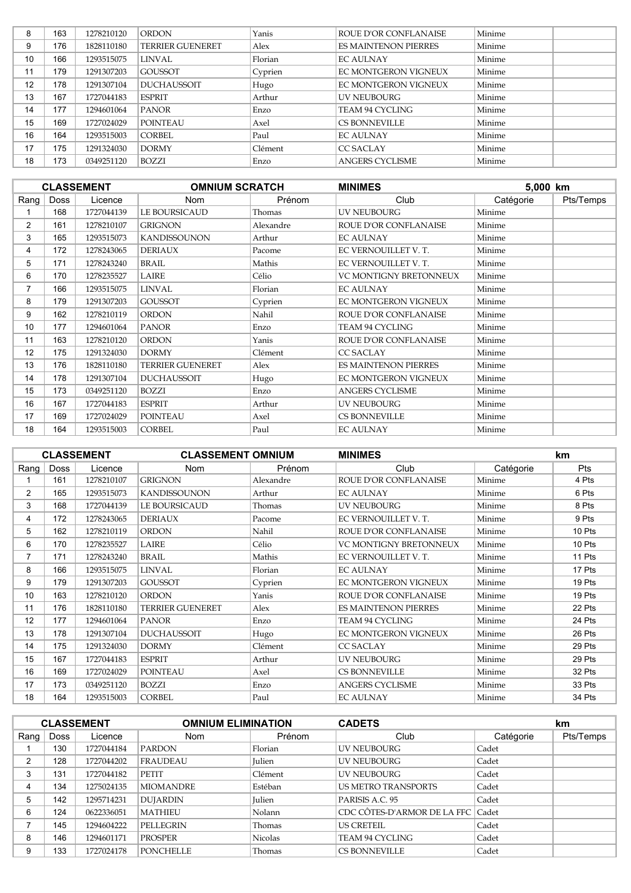| 8  | 163 | 1278210120 | <b>ORDON</b>            | Yanis   | ROUE D'OR CONFLANAISE       | Minime |
|----|-----|------------|-------------------------|---------|-----------------------------|--------|
| 9  | 176 | 1828110180 | <b>TERRIER GUENERET</b> | Alex    | <b>ES MAINTENON PIERRES</b> | Minime |
| 10 | 166 | 1293515075 | <b>LINVAL</b>           | Florian | <b>EC AULNAY</b>            | Minime |
| 11 | 179 | 1291307203 | <b>GOUSSOT</b>          | Cyprien | EC MONTGERON VIGNEUX        | Minime |
| 12 | 178 | 1291307104 | <b>DUCHAUSSOIT</b>      | Hugo    | EC MONTGERON VIGNEUX        | Minime |
| 13 | 167 | 1727044183 | <b>ESPRIT</b>           | Arthur  | <b>UV NEUBOURG</b>          | Minime |
| 14 | 177 | 1294601064 | <b>PANOR</b>            | Enzo    | <b>TEAM 94 CYCLING</b>      | Minime |
| 15 | 169 | 1727024029 | <b>POINTEAU</b>         | Axel    | <b>CS BONNEVILLE</b>        | Minime |
| 16 | 164 | 1293515003 | <b>CORBEL</b>           | Paul    | <b>EC AULNAY</b>            | Minime |
| 17 | 175 | 1291324030 | <b>DORMY</b>            | Clément | <b>CC SACLAY</b>            | Minime |
| 18 | 173 | 0349251120 | BOZZI                   | Enzo    | ANGERS CYCLISME             | Minime |

|                |      | <b>CLASSEMENT</b> | <b>OMNIUM SCRATCH</b>   |           | <b>MINIMES</b>              | 5.000 km  |           |
|----------------|------|-------------------|-------------------------|-----------|-----------------------------|-----------|-----------|
| Rang           | Doss | Licence           | <b>Nom</b>              | Prénom    | Club                        | Catégorie | Pts/Temps |
|                | 168  | 1727044139        | LE BOURSICAUD           | Thomas    | <b>UV NEUBOURG</b>          | Minime    |           |
| $\overline{2}$ | 161  | 1278210107        | <b>GRIGNON</b>          | Alexandre | ROUE D'OR CONFLANAISE       | Minime    |           |
| 3              | 165  | 1293515073        | <b>KANDISSOUNON</b>     | Arthur    | <b>EC AULNAY</b>            | Minime    |           |
| 4              | 172  | 1278243065        | <b>DERIAUX</b>          | Pacome    | EC VERNOUILLET V.T.         | Minime    |           |
| 5              | 171  | 1278243240        | <b>BRAIL</b>            | Mathis    | EC VERNOUILLET V.T.         | Minime    |           |
| 6              | 170  | 1278235527        | <b>LAIRE</b>            | Célio     | VC MONTIGNY BRETONNEUX      | Minime    |           |
| 7              | 166  | 1293515075        | <b>LINVAL</b>           | Florian   | <b>EC AULNAY</b>            | Minime    |           |
| 8              | 179  | 1291307203        | <b>GOUSSOT</b>          | Cyprien   | EC MONTGERON VIGNEUX        | Minime    |           |
| 9              | 162  | 1278210119        | <b>ORDON</b>            | Nahil     | ROUE D'OR CONFLANAISE       | Minime    |           |
| 10             | 177  | 1294601064        | <b>PANOR</b>            | Enzo      | TEAM 94 CYCLING             | Minime    |           |
| 11             | 163  | 1278210120        | <b>ORDON</b>            | Yanis     | ROUE D'OR CONFLANAISE       | Minime    |           |
| 12             | 175  | 1291324030        | <b>DORMY</b>            | Clément   | <b>CC SACLAY</b>            | Minime    |           |
| 13             | 176  | 1828110180        | <b>TERRIER GUENERET</b> | Alex      | <b>ES MAINTENON PIERRES</b> | Minime    |           |
| 14             | 178  | 1291307104        | <b>DUCHAUSSOIT</b>      | Hugo      | EC MONTGERON VIGNEUX        | Minime    |           |
| 15             | 173  | 0349251120        | <b>BOZZI</b>            | Enzo      | <b>ANGERS CYCLISME</b>      | Minime    |           |
| 16             | 167  | 1727044183        | <b>ESPRIT</b>           | Arthur    | <b>UV NEUBOURG</b>          | Minime    |           |
| 17             | 169  | 1727024029        | <b>POINTEAU</b>         | Axel      | <b>CS BONNEVILLE</b>        | Minime    |           |
| 18             | 164  | 1293515003        | <b>CORBEL</b>           | Paul      | <b>EC AULNAY</b>            | Minime    |           |

|                |             | <b>CLASSEMENT</b> | <b>CLASSEMENT OMNIUM</b> |           | <b>MINIMES</b>              |           | km         |
|----------------|-------------|-------------------|--------------------------|-----------|-----------------------------|-----------|------------|
| Rang           | <b>Doss</b> | Licence           | Nom                      | Prénom    | Club                        | Catégorie | <b>Pts</b> |
|                | 161         | 1278210107        | <b>GRIGNON</b>           | Alexandre | ROUE D'OR CONFLANAISE       | Minime    | 4 Pts      |
| $\overline{2}$ | 165         | 1293515073        | <b>KANDISSOUNON</b>      | Arthur    | <b>EC AULNAY</b>            | Minime    | 6 Pts      |
| 3              | 168         | 1727044139        | LE BOURSICAUD            | Thomas    | UV NEUBOURG                 | Minime    | 8 Pts      |
| 4              | 172         | 1278243065        | <b>DERIAUX</b>           | Pacome    | EC VERNOUILLET V.T.         | Minime    | 9 Pts      |
| 5              | 162         | 1278210119        | <b>ORDON</b>             | Nahil     | ROUE D'OR CONFLANAISE       | Minime    | 10 Pts     |
| 6              | 170         | 1278235527        | LAIRE                    | Célio     | VC MONTIGNY BRETONNEUX      | Minime    | 10 Pts     |
| 7              | 171         | 1278243240        | <b>BRAIL</b>             | Mathis    | EC VERNOUILLET V.T.         | Minime    | 11 Pts     |
| 8              | 166         | 1293515075        | <b>LINVAL</b>            | Florian   | <b>EC AULNAY</b>            | Minime    | 17 Pts     |
| 9              | 179         | 1291307203        | <b>GOUSSOT</b>           | Cyprien   | EC MONTGERON VIGNEUX        | Minime    | 19 Pts     |
| 10             | 163         | 1278210120        | ORDON                    | Yanis     | ROUE D'OR CONFLANAISE       | Minime    | 19 Pts     |
| 11             | 176         | 1828110180        | <b>TERRIER GUENERET</b>  | Alex      | <b>ES MAINTENON PIERRES</b> | Minime    | 22 Pts     |
| 12             | 177         | 1294601064        | <b>PANOR</b>             | Enzo      | TEAM 94 CYCLING             | Minime    | 24 Pts     |
| 13             | 178         | 1291307104        | DUCHAUSSOIT              | Hugo      | EC MONTGERON VIGNEUX        | Minime    | 26 Pts     |
| 14             | 175         | 1291324030        | <b>DORMY</b>             | Clément   | <b>CC SACLAY</b>            | Minime    | 29 Pts     |
| 15             | 167         | 1727044183        | <b>ESPRIT</b>            | Arthur    | UV NEUBOURG                 | Minime    | 29 Pts     |
| 16             | 169         | 1727024029        | <b>POINTEAU</b>          | Axel      | <b>CS BONNEVILLE</b>        | Minime    | 32 Pts     |
| 17             | 173         | 0349251120        | BOZZI                    | Enzo      | <b>ANGERS CYCLISME</b>      | Minime    | 33 Pts     |
| 18             | 164         | 1293515003        | <b>CORBEL</b>            | Paul      | <b>EC AULNAY</b>            | Minime    | 34 Pts     |

|          |      | <b>CLASSEMENT</b> | <b>OMNIUM ELIMINATION</b> |                | <b>CADETS</b>                     |           | km        |
|----------|------|-------------------|---------------------------|----------------|-----------------------------------|-----------|-----------|
| Rang $ $ | Doss | Licence           | <b>Nom</b>                | Prénom         | Club                              | Catégorie | Pts/Temps |
|          | 130  | 1727044184        | <b>PARDON</b>             | Florian        | UV NEUBOURG                       | Cadet     |           |
| 2        | 128  | 1727044202        | FRAUDEAU                  | <b>Iulien</b>  | <b>UV NEUBOURG</b>                | Cadet     |           |
| 3        | 131  | 1727044182        | <b>PETIT</b>              | Clément        | UV NEUBOURG                       | Cadet     |           |
| 4        | 134  | 1275024135        | <b>MIOMANDRE</b>          | Estéban        | <b>US METRO TRANSPORTS</b>        | Cadet     |           |
| 5        | 142  | 1295714231        | <b>DUJARDIN</b>           | <b>Iulien</b>  | PARISIS A.C. 95                   | Cadet     |           |
| 6        | 124  | 0622336051        | <b>MATHIEU</b>            | Nolann         | CDC CÔTES-D'ARMOR DE LA FFC Cadet |           |           |
|          | 145  | 1294604222        | PELLEGRIN                 | Thomas         | <b>US CRETEIL</b>                 | Cadet     |           |
| 8        | 146  | 1294601171        | <b>PROSPER</b>            | <b>Nicolas</b> | TEAM 94 CYCLING                   | Cadet     |           |
| 9        | 133  | 1727024178        | <b>PONCHELLE</b>          | Thomas         | CS BONNEVILLE                     | Cadet     |           |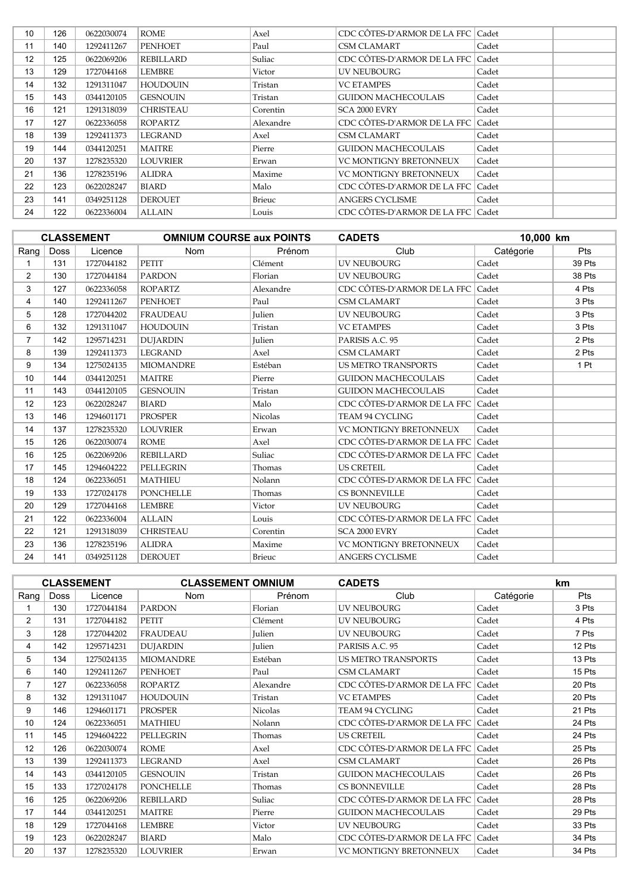| 10                | 126 | 0622030074 | ROME             | Axel          | CDC CÔTES-D'ARMOR DE LA FFC   Cadet |       |  |
|-------------------|-----|------------|------------------|---------------|-------------------------------------|-------|--|
| 11                | 140 | 1292411267 | <b>PENHOET</b>   | Paul          | CSM CLAMART                         | Cadet |  |
| $12 \overline{ }$ | 125 | 0622069206 | REBILLARD        | Suliac        | CDC CÔTES-D'ARMOR DE LA FFC Cadet   |       |  |
| 13                | 129 | 1727044168 | LEMBRE           | Victor        | <b>UV NEUBOURG</b>                  | Cadet |  |
| 14                | 132 | 1291311047 | HOUDOUIN         | Tristan       | <b>VC ETAMPES</b>                   | Cadet |  |
| 15                | 143 | 0344120105 | <b>GESNOUIN</b>  | Tristan       | GUIDON MACHECOULAIS                 | Cadet |  |
| 16                | 121 | 1291318039 | <b>CHRISTEAU</b> | Corentin      | SCA 2000 EVRY                       | Cadet |  |
| 17                | 127 | 0622336058 | ROPARTZ          | Alexandre     | CDC CÔTES-D'ARMOR DE LA FFC Cadet   |       |  |
| 18                | 139 | 1292411373 | LEGRAND          | Axel          | CSM CLAMART                         | Cadet |  |
| 19                | 144 | 0344120251 | <b>MAITRE</b>    | Pierre        | <b>GUIDON MACHECOULAIS</b>          | Cadet |  |
| 20                | 137 | 1278235320 | LOUVRIER         | Erwan         | VC MONTIGNY BRETONNEUX              | Cadet |  |
| 21                | 136 | 1278235196 | <b>ALIDRA</b>    | Maxime        | <b>VC MONTIGNY BRETONNEUX</b>       | Cadet |  |
| 22                | 123 | 0622028247 | <b>BIARD</b>     | Malo          | CDC CÔTES-D'ARMOR DE LA FFC Cadet   |       |  |
| 23                | 141 | 0349251128 | <b>DEROUET</b>   | <b>Brieuc</b> | <b>ANGERS CYCLISME</b>              | Cadet |  |
| 24                | 122 | 0622336004 | <b>ALLAIN</b>    | Louis         | CDC CÔTES-D'ARMOR DE LA FFC   Cadet |       |  |

|                |             | <b>CLASSEMENT</b> | <b>OMNIUM COURSE aux POINTS</b> |                | <b>CADETS</b>                     | 10,000 km |        |
|----------------|-------------|-------------------|---------------------------------|----------------|-----------------------------------|-----------|--------|
| Rang           | <b>Doss</b> | Licence           | <b>Nom</b>                      | Prénom         | Club                              | Catégorie | Pts    |
|                | 131         | 1727044182        | <b>PETIT</b>                    | Clément        | <b>UV NEUBOURG</b>                | Cadet     | 39 Pts |
| 2              | 130         | 1727044184        | <b>PARDON</b>                   | Florian        | <b>UV NEUBOURG</b>                | Cadet     | 38 Pts |
| 3              | 127         | 0622336058        | <b>ROPARTZ</b>                  | Alexandre      | CDC CÔTES-D'ARMOR DE LA FFC       | Cadet     | 4 Pts  |
| 4              | 140         | 1292411267        | <b>PENHOET</b>                  | Paul           | <b>CSM CLAMART</b>                | Cadet     | 3 Pts  |
| 5              | 128         | 1727044202        | <b>FRAUDEAU</b>                 | Julien         | <b>UV NEUBOURG</b>                | Cadet     | 3 Pts  |
| 6              | 132         | 1291311047        | <b>HOUDOUIN</b>                 | Tristan        | <b>VC ETAMPES</b>                 | Cadet     | 3 Pts  |
| $\overline{7}$ | 142         | 1295714231        | <b>DUJARDIN</b>                 | <b>Julien</b>  | PARISIS A.C. 95                   | Cadet     | 2 Pts  |
| 8              | 139         | 1292411373        | <b>LEGRAND</b>                  | Axel           | <b>CSM CLAMART</b>                | Cadet     | 2 Pts  |
| 9              | 134         | 1275024135        | <b>MIOMANDRE</b>                | Estéban        | <b>US METRO TRANSPORTS</b>        | Cadet     | 1 Pt   |
| 10             | 144         | 0344120251        | <b>MAITRE</b>                   | Pierre         | <b>GUIDON MACHECOULAIS</b>        | Cadet     |        |
| 11             | 143         | 0344120105        | <b>GESNOUIN</b>                 | Tristan        | <b>GUIDON MACHECOULAIS</b>        | Cadet     |        |
| 12             | 123         | 0622028247        | <b>BIARD</b>                    | Malo           | CDC CÔTES-D'ARMOR DE LA FFC       | Cadet     |        |
| 13             | 146         | 1294601171        | <b>PROSPER</b>                  | <b>Nicolas</b> | <b>TEAM 94 CYCLING</b>            | Cadet     |        |
| 14             | 137         | 1278235320        | <b>LOUVRIER</b>                 | Erwan          | VC MONTIGNY BRETONNEUX            | Cadet     |        |
| 15             | 126         | 0622030074        | <b>ROME</b>                     | Axel           | CDC CÔTES-D'ARMOR DE LA FFC       | Cadet     |        |
| 16             | 125         | 0622069206        | <b>REBILLARD</b>                | Suliac         | CDC CÔTES-D'ARMOR DE LA FFC       | Cadet     |        |
| 17             | 145         | 1294604222        | <b>PELLEGRIN</b>                | Thomas         | <b>US CRETEIL</b>                 | Cadet     |        |
| 18             | 124         | 0622336051        | <b>MATHIEU</b>                  | Nolann         | CDC CÔTES-D'ARMOR DE LA FFC Cadet |           |        |
| 19             | 133         | 1727024178        | <b>PONCHELLE</b>                | Thomas         | <b>CS BONNEVILLE</b>              | Cadet     |        |
| 20             | 129         | 1727044168        | <b>LEMBRE</b>                   | Victor         | <b>UV NEUBOURG</b>                | Cadet     |        |
| 21             | 122         | 0622336004        | <b>ALLAIN</b>                   | Louis          | CDC CÔTES-D'ARMOR DE LA FFC       | Cadet     |        |
| 22             | 121         | 1291318039        | <b>CHRISTEAU</b>                | Corentin       | SCA 2000 EVRY                     | Cadet     |        |
| 23             | 136         | 1278235196        | <b>ALIDRA</b>                   | Maxime         | VC MONTIGNY BRETONNEUX            | Cadet     |        |
| 24             | 141         | 0349251128        | <b>DEROUET</b>                  | Brieuc         | <b>ANGERS CYCLISME</b>            | Cadet     |        |

|                |             | <b>CLASSEMENT</b> | <b>CLASSEMENT OMNIUM</b> |                | <b>CADETS</b>               |           | <b>km</b> |
|----------------|-------------|-------------------|--------------------------|----------------|-----------------------------|-----------|-----------|
| Rang           | <b>Doss</b> | Licence           | <b>Nom</b>               | Prénom         | Club                        | Catégorie | Pts       |
|                | 130         | 1727044184        | <b>PARDON</b>            | Florian        | <b>UV NEUBOURG</b>          | Cadet     | 3 Pts     |
| $\overline{2}$ | 131         | 1727044182        | <b>PETIT</b>             | Clément        | <b>UV NEUBOURG</b>          | Cadet     | 4 Pts     |
| 3              | 128         | 1727044202        | <b>FRAUDEAU</b>          | <b>Julien</b>  | <b>UV NEUBOURG</b>          | Cadet     | 7 Pts     |
| 4              | 142         | 1295714231        | <b>DUJARDIN</b>          | Julien         | PARISIS A.C. 95             | Cadet     | 12 Pts    |
| 5              | 134         | 1275024135        | <b>MIOMANDRE</b>         | Estéban        | <b>US METRO TRANSPORTS</b>  | Cadet     | 13 Pts    |
| 6              | 140         | 1292411267        | <b>PENHOET</b>           | Paul           | <b>CSM CLAMART</b>          | Cadet     | 15 Pts    |
| $\overline{7}$ | 127         | 0622336058        | ROPARTZ                  | Alexandre      | CDC CÔTES-D'ARMOR DE LA FFC | Cadet     | 20 Pts    |
| 8              | 132         | 1291311047        | <b>HOUDOUIN</b>          | Tristan        | <b>VC ETAMPES</b>           | Cadet     | 20 Pts    |
| 9              | 146         | 1294601171        | <b>PROSPER</b>           | <b>Nicolas</b> | <b>TEAM 94 CYCLING</b>      | Cadet     | 21 Pts    |
| 10             | 124         | 0622336051        | <b>MATHIEU</b>           | Nolann         | CDC CÔTES-D'ARMOR DE LA FFC | Cadet     | 24 Pts    |
| 11             | 145         | 1294604222        | <b>PELLEGRIN</b>         | Thomas         | <b>US CRETEIL</b>           | Cadet     | 24 Pts    |
| 12             | 126         | 0622030074        | <b>ROME</b>              | Axel           | CDC CÔTES-D'ARMOR DE LA FFC | Cadet     | 25 Pts    |
| 13             | 139         | 1292411373        | <b>LEGRAND</b>           | Axel           | <b>CSM CLAMART</b>          | Cadet     | 26 Pts    |
| 14             | 143         | 0344120105        | <b>GESNOUIN</b>          | Tristan        | <b>GUIDON MACHECOULAIS</b>  | Cadet     | 26 Pts    |
| 15             | 133         | 1727024178        | <b>PONCHELLE</b>         | Thomas         | <b>CS BONNEVILLE</b>        | Cadet     | 28 Pts    |
| 16             | 125         | 0622069206        | <b>REBILLARD</b>         | Suliac         | CDC CÔTES-D'ARMOR DE LA FFC | Cadet     | 28 Pts    |
| 17             | 144         | 0344120251        | <b>MAITRE</b>            | Pierre         | <b>GUIDON MACHECOULAIS</b>  | Cadet     | 29 Pts    |
| 18             | 129         | 1727044168        | <b>LEMBRE</b>            | Victor         | <b>UV NEUBOURG</b>          | Cadet     | 33 Pts    |
| 19             | 123         | 0622028247        | <b>BIARD</b>             | Malo           | CDC CÔTES-D'ARMOR DE LA FFC | Cadet     | 34 Pts    |
| 20             | 137         | 1278235320        | <b>LOUVRIER</b>          | Erwan          | VC MONTIGNY BRETONNEUX      | Cadet     | 34 Pts    |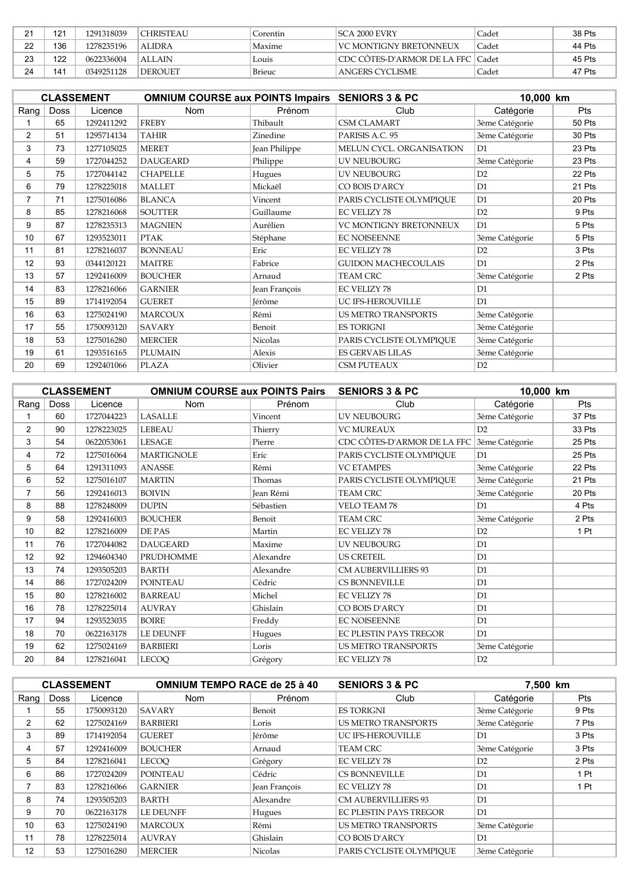| ີ<br><u>.</u> | 121 | 1291318039 | <b>CHRISTEAU</b> | Corentin      | ISCA 2000 EVRY                      | Cadet  | 38 Pts |
|---------------|-----|------------|------------------|---------------|-------------------------------------|--------|--------|
| ററ<br>∠∠      | 136 | 1278235196 | <b>ALIDRA</b>    | Maxime        | VC MONTIGNY BRETONNEUX              | 'Cadet | 44 Pts |
| າາ<br>دے      | 122 | 0622336004 | <b>ALLAIN</b>    | Louis         | CDC CÔTES-D'ARMOR DE LA FFC   Cadet |        | 45 Pts |
| 24            | 141 | 0349251128 | DEROUET          | <b>Brieuc</b> | ANGERS CYCLISME                     | Cadet  | 47 Pts |

|                |             | <b>CLASSEMENT</b> | <b>OMNIUM COURSE aux POINTS Impairs</b> |               | <b>SENIORS 3 &amp; PC</b>     | 10,000 km      |        |  |
|----------------|-------------|-------------------|-----------------------------------------|---------------|-------------------------------|----------------|--------|--|
| Rang           | <b>Doss</b> | Licence           | <b>Nom</b>                              | Prénom        | Club                          | Catégorie      | Pts    |  |
|                | 65          | 1292411292        | <b>FREBY</b>                            | Thibault      | <b>CSM CLAMART</b>            | 3ème Catégorie | 50 Pts |  |
| $\overline{2}$ | 51          | 1295714134        | <b>TAHIR</b>                            | Zinedine      | PARISIS A.C. 95               | 3ème Catégorie | 30 Pts |  |
| 3              | 73          | 1277105025        | <b>MERET</b>                            | Jean Philippe | MELUN CYCL. ORGANISATION      | D1             | 23 Pts |  |
| 4              | 59          | 1727044252        | <b>DAUGEARD</b>                         | Philippe      | <b>UV NEUBOURG</b>            | 3ème Catégorie | 23 Pts |  |
| 5              | 75          | 1727044142        | <b>CHAPELLE</b>                         | Hugues        | <b>UV NEUBOURG</b>            | D2             | 22 Pts |  |
| 6              | 79          | 1278225018        | <b>MALLET</b>                           | Mickaël       | CO BOIS D'ARCY                | D1             | 21 Pts |  |
| 7              | 71          | 1275016086        | <b>BLANCA</b>                           | Vincent       | PARIS CYCLISTE OLYMPIOUE      | D <sub>1</sub> | 20 Pts |  |
| 8              | 85          | 1278216068        | <b>SOUTTER</b>                          | Guillaume     | <b>EC VELIZY 78</b>           | D2             | 9 Pts  |  |
| 9              | 87          | 1278235313        | <b>MAGNIEN</b>                          | Aurélien      | <b>VC MONTIGNY BRETONNEUX</b> | D1             | 5 Pts  |  |
| 10             | 67          | 1293523011        | <b>PTAK</b>                             | Stéphane      | <b>EC NOISEENNE</b>           | 3ème Catégorie | 5 Pts  |  |
| 11             | 81          | 1278216037        | <b>BONNEAU</b>                          | Eric          | <b>EC VELIZY 78</b>           | D2             | 3 Pts  |  |
| 12             | 93          | 0344120121        | <b>MAITRE</b>                           | Fabrice       | <b>GUIDON MACHECOULAIS</b>    | D1             | 2 Pts  |  |
| 13             | 57          | 1292416009        | <b>BOUCHER</b>                          | Arnaud        | <b>TEAM CRC</b>               | 3ème Catégorie | 2 Pts  |  |
| 14             | 83          | 1278216066        | <b>GARNIER</b>                          | Jean François | <b>EC VELIZY 78</b>           | D1             |        |  |
| 15             | 89          | 1714192054        | <b>GUERET</b>                           | Jérôme        | UC IFS-HEROUVILLE             | D <sub>1</sub> |        |  |
| 16             | 63          | 1275024190        | <b>MARCOUX</b>                          | Rémi          | <b>US METRO TRANSPORTS</b>    | 3ème Catégorie |        |  |
| 17             | 55          | 1750093120        | <b>SAVARY</b>                           | Benoit        | <b>ES TORIGNI</b>             | 3ème Catégorie |        |  |
| 18             | 53          | 1275016280        | <b>MERCIER</b>                          | Nicolas       | PARIS CYCLISTE OLYMPIQUE      | 3ème Catégorie |        |  |
| 19             | 61          | 1293516165        | <b>PLUMAIN</b>                          | Alexis        | <b>ES GERVAIS LILAS</b>       | 3ème Catégorie |        |  |
| 20             | 69          | 1292401066        | <b>PLAZA</b>                            | Olivier       | <b>CSM PUTEAUX</b>            | D2             |        |  |

|                |      | <b>CLASSEMENT</b> | <b>OMNIUM COURSE aux POINTS Pairs</b> |           | <b>SENIORS 3 &amp; PC</b>   | 10,000 km      |            |
|----------------|------|-------------------|---------------------------------------|-----------|-----------------------------|----------------|------------|
| Rang           | Doss | Licence           | <b>Nom</b>                            | Prénom    | Club                        | Catégorie      | <b>Pts</b> |
|                | 60   | 1727044223        | <b>LASALLE</b>                        | Vincent   | <b>UV NEUBOURG</b>          | 3ème Catégorie | 37 Pts     |
| $\overline{2}$ | 90   | 1278223025        | <b>LEBEAU</b>                         | Thierry   | <b>VC MUREAUX</b>           | D2             | 33 Pts     |
| 3              | 54   | 0622053061        | <b>LESAGE</b>                         | Pierre    | CDC CÔTES-D'ARMOR DE LA FFC | 3ème Catégorie | 25 Pts     |
| 4              | 72   | 1275016064        | <b>MARTIGNOLE</b>                     | Eric      | PARIS CYCLISTE OLYMPIQUE    | D <sub>1</sub> | 25 Pts     |
| 5              | 64   | 1291311093        | <b>ANASSE</b>                         | Rémi      | <b>VC ETAMPES</b>           | 3ème Catégorie | 22 Pts     |
| 6              | 52   | 1275016107        | <b>MARTIN</b>                         | Thomas    | PARIS CYCLISTE OLYMPIQUE    | 3ème Catégorie | 21 Pts     |
| $\overline{7}$ | 56   | 1292416013        | <b>BOIVIN</b>                         | Jean Rémi | <b>TEAM CRC</b>             | 3ème Catégorie | 20 Pts     |
| 8              | 88   | 1278248009        | <b>DUPIN</b>                          | Sébastien | <b>VELO TEAM 78</b>         | D1             | 4 Pts      |
| 9              | 58   | 1292416003        | <b>BOUCHER</b>                        | Benoit    | <b>TEAM CRC</b>             | 3ème Catégorie | 2 Pts      |
| 10             | 82   | 1278216009        | DE PAS                                | Martin    | <b>EC VELIZY 78</b>         | D2             | 1 Pt       |
| 11             | 76   | 1727044082        | <b>DAUGEARD</b>                       | Maxime    | UV NEUBOURG                 | D1             |            |
| 12             | 92   | 1294604340        | <b>PRUDHOMME</b>                      | Alexandre | <b>US CRETEIL</b>           | D1             |            |
| 13             | 74   | 1293505203        | <b>BARTH</b>                          | Alexandre | <b>CM AUBERVILLIERS 93</b>  | D <sub>1</sub> |            |
| 14             | 86   | 1727024209        | <b>POINTEAU</b>                       | Cédric    | <b>CS BONNEVILLE</b>        | D1             |            |
| 15             | 80   | 1278216002        | <b>BARREAU</b>                        | Michel    | <b>EC VELIZY 78</b>         | D1             |            |
| 16             | 78   | 1278225014        | <b>AUVRAY</b>                         | Ghislain  | CO BOIS D'ARCY              | D1             |            |
| 17             | 94   | 1293523035        | <b>BOIRE</b>                          | Freddy    | <b>EC NOISEENNE</b>         | D1             |            |
| 18             | 70   | 0622163178        | <b>LE DEUNFF</b>                      | Hugues    | EC PLESTIN PAYS TREGOR      | D1             |            |
| 19             | 62   | 1275024169        | <b>BARBIERI</b>                       | Loris     | <b>US METRO TRANSPORTS</b>  | 3ème Catégorie |            |
| 20             | 84   | 1278216041        | <b>LECOO</b>                          | Grégory   | <b>EC VELIZY 78</b>         | D2             |            |

|      |             | <b>CLASSEMENT</b> | <b>OMNIUM TEMPO RACE de 25 à 40</b> |                | <b>SENIORS 3 &amp; PC</b><br>7,500 km |                |       |
|------|-------------|-------------------|-------------------------------------|----------------|---------------------------------------|----------------|-------|
| Rang | <b>Doss</b> | Licence           | <b>Nom</b>                          | Prénom         | Club                                  | Catégorie      | Pts   |
|      | 55          | 1750093120        | <b>SAVARY</b>                       | Benoit         | <b>ES TORIGNI</b>                     | 3ème Catégorie | 9 Pts |
| 2    | 62          | 1275024169        | <b>BARBIERI</b>                     | Loris          | <b>US METRO TRANSPORTS</b>            | 3ème Catégorie | 7 Pts |
| 3    | 89          | 1714192054        | <b>GUERET</b>                       | Jérôme         | UC IFS-HEROUVILLE                     | D <sub>1</sub> | 3 Pts |
| 4    | 57          | 1292416009        | <b>BOUCHER</b>                      | Arnaud         | TEAM CRC                              | 3ème Catégorie | 3 Pts |
| 5    | 84          | 1278216041        | LECOO                               | Grégory        | <b>EC VELIZY 78</b>                   | D2             | 2 Pts |
| 6    | 86          | 1727024209        | <b>POINTEAU</b>                     | Cédric         | <b>CS BONNEVILLE</b>                  | D1             | 1 Pt  |
| 7    | 83          | 1278216066        | <b>GARNIER</b>                      | Jean François  | <b>EC VELIZY 78</b>                   | D <sub>1</sub> | 1 Pt  |
| 8    | 74          | 1293505203        | BARTH                               | Alexandre      | <b>CM AUBERVILLIERS 93</b>            | D <sub>1</sub> |       |
| 9    | 70          | 0622163178        | <b>LE DEUNFF</b>                    | Hugues         | <b>EC PLESTIN PAYS TREGOR</b>         | D <sub>1</sub> |       |
| 10   | 63          | 1275024190        | <b>MARCOUX</b>                      | Rémi           | <b>US METRO TRANSPORTS</b>            | 3ème Catégorie |       |
| 11   | 78          | 1278225014        | <b>AUVRAY</b>                       | Ghislain       | CO BOIS D'ARCY                        | D <sub>1</sub> |       |
| 12   | 53          | 1275016280        | <b>MERCIER</b>                      | <b>Nicolas</b> | PARIS CYCLISTE OLYMPIOUE              | 3ème Catégorie |       |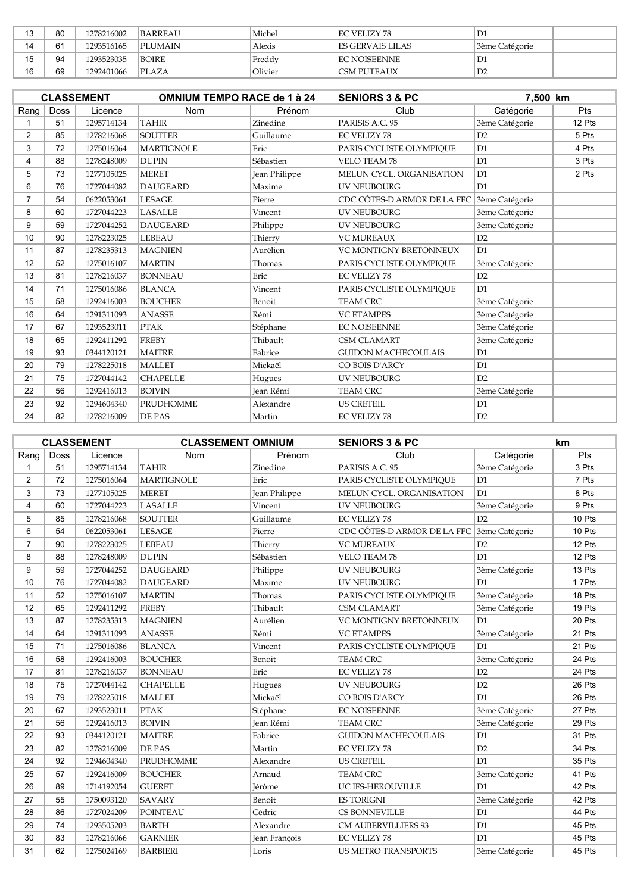| 10 | 80 | 1278216002 | <b>BARREAU</b> | Michel  | EC VELIZY 78         | D1             |  |
|----|----|------------|----------------|---------|----------------------|----------------|--|
| 14 | 61 | 1293516165 | PLUMAIN        | Alexis  | I ES GERVAIS LILAS   | 3ème Catégorie |  |
| 15 | 94 | 1293523035 | <b>BOIRE</b>   | Freddy  | <b>IEC NOISEENNE</b> | D1             |  |
| 16 | 69 | 1292401066 | PI.AZA         | Olivier | CSM PUTEAUX          | D2             |  |

|                |             | <b>CLASSEMENT</b> | <b>OMNIUM TEMPO RACE de 1 à 24</b> |               | <b>SENIORS 3 &amp; PC</b>   | 7,500 km       |        |
|----------------|-------------|-------------------|------------------------------------|---------------|-----------------------------|----------------|--------|
| Rang           | <b>Doss</b> | Licence           | Nom                                | Prénom        | Club                        | Catégorie      | Pts    |
|                | 51          | 1295714134        | <b>TAHIR</b>                       | Zinedine      | PARISIS A.C. 95             | 3ème Catégorie | 12 Pts |
| $\overline{2}$ | 85          | 1278216068        | <b>SOUTTER</b>                     | Guillaume     | <b>EC VELIZY 78</b>         | D2             | 5 Pts  |
| 3              | 72          | 1275016064        | <b>MARTIGNOLE</b>                  | Eric          | PARIS CYCLISTE OLYMPIOUE    | D1             | 4 Pts  |
| 4              | 88          | 1278248009        | <b>DUPIN</b>                       | Sébastien     | <b>VELO TEAM 78</b>         | D1             | 3 Pts  |
| 5              | 73          | 1277105025        | <b>MERET</b>                       | Jean Philippe | MELUN CYCL. ORGANISATION    | D <sub>1</sub> | 2 Pts  |
| 6              | 76          | 1727044082        | <b>DAUGEARD</b>                    | Maxime        | <b>UV NEUBOURG</b>          | D1             |        |
| 7              | 54          | 0622053061        | <b>LESAGE</b>                      | Pierre        | CDC CÔTES-D'ARMOR DE LA FFC | 3ème Catégorie |        |
| 8              | 60          | 1727044223        | <b>LASALLE</b>                     | Vincent       | <b>UV NEUBOURG</b>          | 3ème Catégorie |        |
| 9              | 59          | 1727044252        | <b>DAUGEARD</b>                    | Philippe      | <b>UV NEUBOURG</b>          | 3ème Catégorie |        |
| 10             | 90          | 1278223025        | <b>LEBEAU</b>                      | Thierry       | <b>VC MUREAUX</b>           | D2             |        |
| 11             | 87          | 1278235313        | <b>MAGNIEN</b>                     | Aurélien      | VC MONTIGNY BRETONNEUX      | D1             |        |
| 12             | 52          | 1275016107        | <b>MARTIN</b>                      | Thomas        | PARIS CYCLISTE OLYMPIOUE    | 3ème Catégorie |        |
| 13             | 81          | 1278216037        | <b>BONNEAU</b>                     | Eric          | <b>EC VELIZY 78</b>         | D2             |        |
| 14             | 71          | 1275016086        | <b>BLANCA</b>                      | Vincent       | PARIS CYCLISTE OLYMPIQUE    | D1             |        |
| 15             | 58          | 1292416003        | <b>BOUCHER</b>                     | Benoit        | <b>TEAM CRC</b>             | 3ème Catégorie |        |
| 16             | 64          | 1291311093        | <b>ANASSE</b>                      | Rémi          | <b>VC ETAMPES</b>           | 3ème Catégorie |        |
| 17             | 67          | 1293523011        | <b>PTAK</b>                        | Stéphane      | <b>EC NOISEENNE</b>         | 3ème Catégorie |        |
| 18             | 65          | 1292411292        | <b>FREBY</b>                       | Thibault      | <b>CSM CLAMART</b>          | 3ème Catégorie |        |
| 19             | 93          | 0344120121        | <b>MAITRE</b>                      | Fabrice       | <b>GUIDON MACHECOULAIS</b>  | D1             |        |
| 20             | 79          | 1278225018        | <b>MALLET</b>                      | Mickaël       | CO BOIS D'ARCY              | D1             |        |
| 21             | 75          | 1727044142        | <b>CHAPELLE</b>                    | Hugues        | <b>UV NEUBOURG</b>          | D2             |        |
| 22             | 56          | 1292416013        | <b>BOIVIN</b>                      | Jean Rémi     | <b>TEAM CRC</b>             | 3ème Catégorie |        |
| 23             | 92          | 1294604340        | PRUDHOMME                          | Alexandre     | <b>US CRETEIL</b>           | D1             |        |
| 24             | 82          | 1278216009        | DE PAS                             | Martin        | <b>EC VELIZY 78</b>         | D2             |        |

|                |      | <b>CLASSEMENT</b> | <b>CLASSEMENT OMNIUM</b> |               | <b>SENIORS 3 &amp; PC</b>   |                | <b>km</b> |
|----------------|------|-------------------|--------------------------|---------------|-----------------------------|----------------|-----------|
| Rang           | Doss | Licence           | <b>Nom</b>               | Prénom        | Club                        | Catégorie      | Pts       |
| 1              | 51   | 1295714134        | <b>TAHIR</b>             | Zinedine      | PARISIS A.C. 95             | 3ème Catégorie | 3 Pts     |
| 2              | 72   | 1275016064        | <b>MARTIGNOLE</b>        | Eric          | PARIS CYCLISTE OLYMPIQUE    | D1             | 7 Pts     |
| 3              | 73   | 1277105025        | <b>MERET</b>             | Jean Philippe | MELUN CYCL. ORGANISATION    | D <sub>1</sub> | 8 Pts     |
| 4              | 60   | 1727044223        | <b>LASALLE</b>           | Vincent       | <b>UV NEUBOURG</b>          | 3ème Catégorie | 9 Pts     |
| 5              | 85   | 1278216068        | <b>SOUTTER</b>           | Guillaume     | <b>EC VELIZY 78</b>         | D2             | 10 Pts    |
| 6              | 54   | 0622053061        | <b>LESAGE</b>            | Pierre        | CDC CÔTES-D'ARMOR DE LA FFC | 3ème Catégorie | 10 Pts    |
| $\overline{7}$ | 90   | 1278223025        | LEBEAU                   | Thierry       | <b>VC MUREAUX</b>           | D2             | 12 Pts    |
| 8              | 88   | 1278248009        | <b>DUPIN</b>             | Sébastien     | <b>VELO TEAM 78</b>         | D1             | 12 Pts    |
| 9              | 59   | 1727044252        | <b>DAUGEARD</b>          | Philippe      | <b>UV NEUBOURG</b>          | 3ème Catégorie | 13 Pts    |
| 10             | 76   | 1727044082        | <b>DAUGEARD</b>          | Maxime        | UV NEUBOURG                 | D1             | 17Pts     |
| 11             | 52   | 1275016107        | <b>MARTIN</b>            | Thomas        | PARIS CYCLISTE OLYMPIQUE    | 3ème Catégorie | 18 Pts    |
| 12             | 65   | 1292411292        | <b>FREBY</b>             | Thibault      | <b>CSM CLAMART</b>          | 3ème Catégorie | 19 Pts    |
| 13             | 87   | 1278235313        | <b>MAGNIEN</b>           | Aurélien      | VC MONTIGNY BRETONNEUX      | D <sub>1</sub> | 20 Pts    |
| 14             | 64   | 1291311093        | <b>ANASSE</b>            | Rémi          | <b>VC ETAMPES</b>           | 3ème Catégorie | 21 Pts    |
| 15             | 71   | 1275016086        | <b>BLANCA</b>            | Vincent       | PARIS CYCLISTE OLYMPIQUE    | D1             | 21 Pts    |
| 16             | 58   | 1292416003        | <b>BOUCHER</b>           | Benoit        | <b>TEAM CRC</b>             | 3ème Catégorie | 24 Pts    |
| 17             | 81   | 1278216037        | <b>BONNEAU</b>           | Eric          | <b>EC VELIZY 78</b>         | D <sub>2</sub> | 24 Pts    |
| 18             | 75   | 1727044142        | <b>CHAPELLE</b>          | Hugues        | <b>UV NEUBOURG</b>          | D2             | 26 Pts    |
| 19             | 79   | 1278225018        | <b>MALLET</b>            | Mickaël       | CO BOIS D'ARCY              | D1             | 26 Pts    |
| 20             | 67   | 1293523011        | <b>PTAK</b>              | Stéphane      | <b>EC NOISEENNE</b>         | 3ème Catégorie | 27 Pts    |
| 21             | 56   | 1292416013        | <b>BOIVIN</b>            | Jean Rémi     | <b>TEAM CRC</b>             | 3ème Catégorie | 29 Pts    |
| 22             | 93   | 0344120121        | <b>MAITRE</b>            | Fabrice       | <b>GUIDON MACHECOULAIS</b>  | D1             | 31 Pts    |
| 23             | 82   | 1278216009        | DE PAS                   | Martin        | <b>EC VELIZY 78</b>         | D <sub>2</sub> | 34 Pts    |
| 24             | 92   | 1294604340        | PRUDHOMME                | Alexandre     | <b>US CRETEIL</b>           | D1             | 35 Pts    |
| 25             | 57   | 1292416009        | <b>BOUCHER</b>           | Arnaud        | <b>TEAM CRC</b>             | 3ème Catégorie | 41 Pts    |
| 26             | 89   | 1714192054        | <b>GUERET</b>            | Jérôme        | UC IFS-HEROUVILLE           | D1             | 42 Pts    |
| 27             | 55   | 1750093120        | <b>SAVARY</b>            | Benoit        | <b>ES TORIGNI</b>           | 3ème Catégorie | 42 Pts    |
| 28             | 86   | 1727024209        | <b>POINTEAU</b>          | Cédric        | CS BONNEVILLE               | D1             | 44 Pts    |
| 29             | 74   | 1293505203        | <b>BARTH</b>             | Alexandre     | <b>CM AUBERVILLIERS 93</b>  | D <sub>1</sub> | 45 Pts    |
| 30             | 83   | 1278216066        | <b>GARNIER</b>           | Jean François | <b>EC VELIZY 78</b>         | D1             | 45 Pts    |
| 31             | 62   | 1275024169        | <b>BARBIERI</b>          | Loris         | US METRO TRANSPORTS         | 3ème Catégorie | 45 Pts    |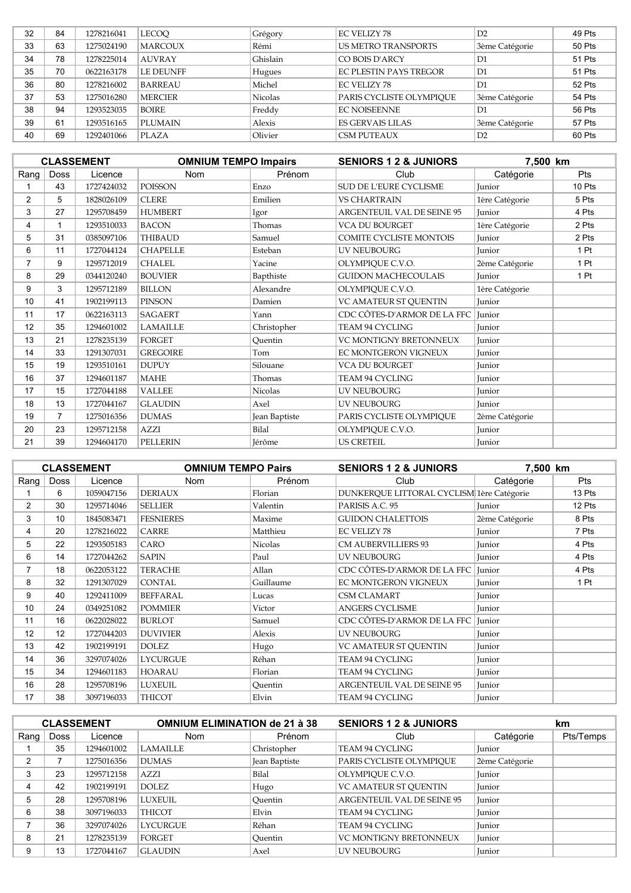| 32 | 84 | 1278216041 | <b>LECOO</b>     | Grégory        | <b>EC VELIZY 78</b>        | D2             | 49 Pts |
|----|----|------------|------------------|----------------|----------------------------|----------------|--------|
| 33 | 63 | 1275024190 | <b>MARCOUX</b>   | Rémi           | <b>US METRO TRANSPORTS</b> | 3ème Catégorie | 50 Pts |
| 34 | 78 | 1278225014 | <b>AUVRAY</b>    | Ghislain       | CO BOIS D'ARCY             | D1             | 51 Pts |
| 35 | 70 | 0622163178 | <b>LE DEUNFF</b> | Hugues         | EC PLESTIN PAYS TREGOR     | D1             | 51 Pts |
| 36 | 80 | 1278216002 | <b>BARREAU</b>   | Michel         | <b>EC VELIZY 78</b>        | D1             | 52 Pts |
| 37 | 53 | 1275016280 | <b>MERCIER</b>   | <b>Nicolas</b> | PARIS CYCLISTE OLYMPIOUE   | 3ème Catégorie | 54 Pts |
| 38 | 94 | 1293523035 | <b>BOIRE</b>     | Freddy         | <b>EC NOISEENNE</b>        | D1             | 56 Pts |
| 39 | 61 | 1293516165 | <b>PLUMAIN</b>   | Alexis         | ES GERVAIS LILAS           | 3ème Catégorie | 57 Pts |
| 40 | 69 | 1292401066 | PLAZA            | Olivier        | <b>CSM PUTEAUX</b>         | D2             | 60 Pts |
|    |    |            |                  |                |                            |                |        |

|                |                | <b>CLASSEMENT</b> | <b>OMNIUM TEMPO Impairs</b> |               | <b>SENIORS 1 2 &amp; JUNIORS</b>  | 7,500 km       |            |
|----------------|----------------|-------------------|-----------------------------|---------------|-----------------------------------|----------------|------------|
| Rang           | <b>Doss</b>    | Licence           | Nom                         | Prénom        | Club                              | Catégorie      | <b>Pts</b> |
|                | 43             | 1727424032        | <b>POISSON</b>              | Enzo          | SUD DE L'EURE CYCLISME            | <b>Iunior</b>  | 10 Pts     |
| $\overline{2}$ | 5              | 1828026109        | <b>CLERE</b>                | Emilien       | <b>VS CHARTRAIN</b>               | 1ère Catégorie | 5 Pts      |
| 3              | 27             | 1295708459        | <b>HUMBERT</b>              | Igor          | <b>ARGENTEUIL VAL DE SEINE 95</b> | Junior         | 4 Pts      |
| 4              |                | 1293510033        | <b>BACON</b>                | Thomas        | <b>VCA DU BOURGET</b>             | 1ère Catégorie | 2 Pts      |
| 5              | 31             | 0385097106        | <b>THIBAUD</b>              | Samuel        | COMITE CYCLISTE MONTOIS           | Junior         | 2 Pts      |
| 6              | 11             | 1727044124        | <b>CHAPELLE</b>             | Esteban       | <b>UV NEUBOURG</b>                | Junior         | 1 Pt       |
| 7              | 9              | 1295712019        | <b>CHALEL</b>               | Yacine        | OLYMPIQUE C.V.O.                  | 2ème Catégorie | 1 Pt       |
| 8              | 29             | 0344120240        | <b>BOUVIER</b>              | Bapthiste     | <b>GUIDON MACHECOULAIS</b>        | Junior         | 1 Pt       |
| 9              | 3              | 1295712189        | <b>BILLON</b>               | Alexandre     | OLYMPIQUE C.V.O.                  | 1ère Catégorie |            |
| 10             | 41             | 1902199113        | <b>PINSON</b>               | Damien        | VC AMATEUR ST QUENTIN             | Junior         |            |
| 11             | 17             | 0622163113        | <b>SAGAERT</b>              | Yann          | CDC CÔTES-D'ARMOR DE LA FFC       | Junior         |            |
| 12             | 35             | 1294601002        | <b>LAMAILLE</b>             | Christopher   | TEAM 94 CYCLING                   | Junior         |            |
| 13             | 21             | 1278235139        | <b>FORGET</b>               | Quentin       | <b>VC MONTIGNY BRETONNEUX</b>     | Junior         |            |
| 14             | 33             | 1291307031        | <b>GREGOIRE</b>             | Tom           | EC MONTGERON VIGNEUX              | Junior         |            |
| 15             | 19             | 1293510161        | <b>DUPUY</b>                | Silouane      | <b>VCA DU BOURGET</b>             | Junior         |            |
| 16             | 37             | 1294601187        | <b>MAHE</b>                 | Thomas        | TEAM 94 CYCLING                   | Junior         |            |
| 17             | 15             | 1727044188        | <b>VALLEE</b>               | Nicolas       | <b>UV NEUBOURG</b>                | Junior         |            |
| 18             | 13             | 1727044167        | <b>GLAUDIN</b>              | Axel          | <b>UV NEUBOURG</b>                | Junior         |            |
| 19             | $\overline{7}$ | 1275016356        | <b>DUMAS</b>                | Jean Baptiste | PARIS CYCLISTE OLYMPIOUE          | 2ème Catégorie |            |
| 20             | 23             | 1295712158        | AZZI                        | Bilal         | OLYMPIQUE C.V.O.                  | Junior         |            |
| 21             | 39             | 1294604170        | <b>PELLERIN</b>             | Jérôme        | <b>US CRETEIL</b>                 | Junior         |            |

|                |             | <b>CLASSEMENT</b> | <b>OMNIUM TEMPO Pairs</b> |                | <b>SENIORS 1 2 &amp; JUNIORS</b>          | 7,500 km       |        |
|----------------|-------------|-------------------|---------------------------|----------------|-------------------------------------------|----------------|--------|
| Rang $ $       | <b>Doss</b> | Licence           | <b>Nom</b>                | Prénom         | Club                                      | Catégorie      | Pts    |
|                | 6           | 1059047156        | <b>DERIAUX</b>            | Florian        | DUNKERQUE LITTORAL CYCLISM 1ère Catégorie |                | 13 Pts |
| $\overline{2}$ | 30          | 1295714046        | <b>SELLIER</b>            | Valentin       | PARISIS A.C. 95                           | Junior         | 12 Pts |
| 3              | 10          | 1845083471        | <b>FESNIERES</b>          | Maxime         | <b>GUIDON CHALETTOIS</b>                  | 2ème Catégorie | 8 Pts  |
| 4              | 20          | 1278216022        | <b>CARRE</b>              | Matthieu       | <b>EC VELIZY 78</b>                       | Junior         | 7 Pts  |
| 5              | 22          | 1293505183        | CARO                      | <b>Nicolas</b> | <b>CM AUBERVILLIERS 93</b>                | Junior         | 4 Pts  |
| 6              | 14          | 1727044262        | <b>SAPIN</b>              | Paul           | <b>UV NEUBOURG</b>                        | Junior         | 4 Pts  |
| 7              | 18          | 0622053122        | <b>TERACHE</b>            | Allan          | CDC CÔTES-D'ARMOR DE LA FFC   Junior      |                | 4 Pts  |
| 8              | 32          | 1291307029        | <b>CONTAL</b>             | Guillaume      | EC MONTGERON VIGNEUX                      | Junior         | 1 Pt   |
| 9              | 40          | 1292411009        | <b>BEFFARAL</b>           | Lucas          | <b>CSM CLAMART</b>                        | Junior         |        |
| 10             | 24          | 0349251082        | <b>POMMIER</b>            | Victor         | <b>ANGERS CYCLISME</b>                    | Junior         |        |
| 11             | 16          | 0622028022        | <b>BURLOT</b>             | Samuel         | CDC CÔTES-D'ARMOR DE LA FFC               | Junior         |        |
| 12             | 12          | 1727044203        | <b>DUVIVIER</b>           | Alexis         | <b>UV NEUBOURG</b>                        | Junior         |        |
| 13             | 42          | 1902199191        | <b>DOLEZ</b>              | Hugo           | VC AMATEUR ST OUENTIN                     | Junior         |        |
| 14             | 36          | 3297074026        | <b>LYCURGUE</b>           | Réhan          | TEAM 94 CYCLING                           | Junior         |        |
| 15             | 34          | 1294601183        | <b>HOARAU</b>             | Florian        | TEAM 94 CYCLING                           | Junior         |        |
| 16             | 28          | 1295708196        | <b>LUXEUIL</b>            | Ouentin        | ARGENTEUIL VAL DE SEINE 95                | Junior         |        |
| 17             | 38          | 3097196033        | THICOT                    | Elvin          | TEAM 94 CYCLING                           | Junior         |        |

|      |             | <b>CLASSEMENT</b> | <b>OMNIUM ELIMINATION de 21 à 38</b> |               | <b>SENIORS 1 2 &amp; JUNIORS</b>  |                | km        |
|------|-------------|-------------------|--------------------------------------|---------------|-----------------------------------|----------------|-----------|
| Rang | <b>Doss</b> | Licence           | <b>Nom</b>                           | Prénom        | Club                              | Catégorie      | Pts/Temps |
|      | 35          | 1294601002        | <b>LAMAILLE</b>                      | Christopher   | TEAM 94 CYCLING                   | <b>Iunior</b>  |           |
| 2    |             | 1275016356        | <b>DUMAS</b>                         | Jean Baptiste | PARIS CYCLISTE OLYMPIOUE          | 2ème Catégorie |           |
| 3    | 23          | 1295712158        | <b>AZZI</b>                          | Bilal         | OLYMPIQUE C.V.O.                  | Junior         |           |
|      | 42          | 1902199191        | DOLEZ.                               | Hugo          | VC AMATEUR ST OUENTIN             | Junior         |           |
| 5    | 28          | 1295708196        | LUXEUIL.                             | Ouentin       | <b>ARGENTEUIL VAL DE SEINE 95</b> | Iunior         |           |
| 6    | 38          | 3097196033        | <b>THICOT</b>                        | Elvin         | TEAM 94 CYCLING                   | Junior         |           |
|      | 36          | 3297074026        | <b>LYCURGUE</b>                      | Réhan         | TEAM 94 CYCLING                   | Junior         |           |
| 8    | 21          | 1278235139        | FORGET                               | Ouentin       | <b>VC MONTIGNY BRETONNEUX</b>     | Junior         |           |
| 9    | 13          | 1727044167        | <b>GLAUDIN</b>                       | Axel          | <b>UV NEUBOURG</b>                | Junior         |           |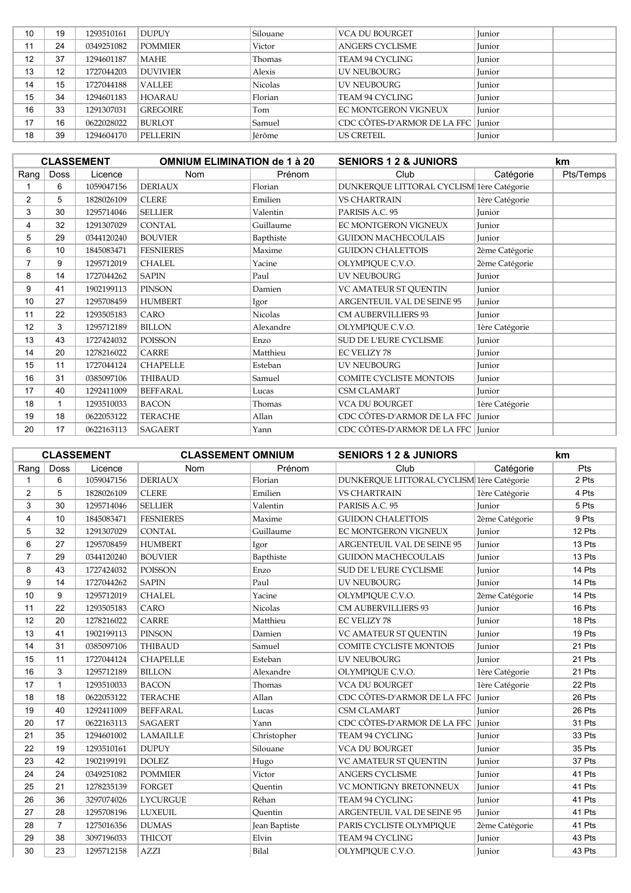| 10 | 19 | 1293510161 | <b>DUPUY</b>    | Silouane       | <b>VCA DU BOURGET</b>              | Junior        |  |
|----|----|------------|-----------------|----------------|------------------------------------|---------------|--|
| 11 | 24 | 0349251082 | <b>POMMIER</b>  | Victor         | <b>ANGERS CYCLISME</b>             | Iunior        |  |
| 12 | 37 | 1294601187 | MAHE            | Thomas         | TEAM 94 CYCLING                    | Junior        |  |
| 13 | 12 | 1727044203 | <b>DUVIVIER</b> | Alexis         | <b>UV NEUBOURG</b>                 | Junior        |  |
| 14 | 15 | 1727044188 | <b>VALLEE</b>   | <b>Nicolas</b> | UV NEUBOURG                        | Junior        |  |
| 15 | 34 | 1294601183 | <b>HOARAU</b>   | Florian        | TEAM 94 CYCLING                    | <b>Iunior</b> |  |
| 16 | 33 | 1291307031 | <b>GREGOIRE</b> | Tom            | EC MONTGERON VIGNEUX               | <b>Iunior</b> |  |
| 17 | 16 | 0622028022 | <b>BURLOT</b>   | Samuel         | CDC CÔTES-D'ARMOR DE LA FFC Junior |               |  |
| 18 | 39 | 1294604170 | <b>PELLERIN</b> | Jérôme         | <b>US CRETEIL</b>                  | Junior        |  |

|                |             | <b>CLASSEMENT</b> | <b>OMNIUM ELIMINATION de 1 à 20</b> |           | <b>SENIORS 1 2 &amp; JUNIORS</b>          |                | km        |
|----------------|-------------|-------------------|-------------------------------------|-----------|-------------------------------------------|----------------|-----------|
| Rang           | <b>Doss</b> | Licence           | Nom                                 | Prénom    | Club                                      | Catégorie      | Pts/Temps |
|                | 6           | 1059047156        | <b>DERIAUX</b>                      | Florian   | DUNKERQUE LITTORAL CYCLISM 1ère Catégorie |                |           |
| $\overline{2}$ | 5           | 1828026109        | <b>CLERE</b>                        | Emilien   | <b>VS CHARTRAIN</b>                       | 1ère Catégorie |           |
| 3              | 30          | 1295714046        | <b>SELLIER</b>                      | Valentin  | PARISIS A.C. 95                           | Junior         |           |
| 4              | 32          | 1291307029        | <b>CONTAL</b>                       | Guillaume | EC MONTGERON VIGNEUX                      | Junior         |           |
| 5              | 29          | 0344120240        | <b>BOUVIER</b>                      | Bapthiste | <b>GUIDON MACHECOULAIS</b>                | Junior         |           |
| 6              | 10          | 1845083471        | <b>FESNIERES</b>                    | Maxime    | <b>GUIDON CHALETTOIS</b>                  | 2ème Catégorie |           |
| $\overline{7}$ | 9           | 1295712019        | <b>CHALEL</b>                       | Yacine    | OLYMPIQUE C.V.O.                          | 2ème Catégorie |           |
| 8              | 14          | 1727044262        | <b>SAPIN</b>                        | Paul      | <b>UV NEUBOURG</b>                        | Junior         |           |
| 9              | 41          | 1902199113        | PINSON                              | Damien    | VC AMATEUR ST QUENTIN                     | Junior         |           |
| 10             | 27          | 1295708459        | <b>HUMBERT</b>                      | Igor      | ARGENTEUIL VAL DE SEINE 95                | Junior         |           |
| 11             | 22          | 1293505183        | CARO                                | Nicolas   | <b>CM AUBERVILLIERS 93</b>                | Junior         |           |
| 12             | 3           | 1295712189        | <b>BILLON</b>                       | Alexandre | OLYMPIQUE C.V.O.                          | 1ère Catégorie |           |
| 13             | 43          | 1727424032        | <b>POISSON</b>                      | Enzo      | SUD DE L'EURE CYCLISME                    | Junior         |           |
| 14             | 20          | 1278216022        | CARRE                               | Matthieu  | <b>EC VELIZY 78</b>                       | Junior         |           |
| 15             | 11          | 1727044124        | <b>CHAPELLE</b>                     | Esteban   | <b>UV NEUBOURG</b>                        | Junior         |           |
| 16             | 31          | 0385097106        | <b>THIBAUD</b>                      | Samuel    | COMITE CYCLISTE MONTOIS                   | Junior         |           |
| 17             | 40          | 1292411009        | BEFFARAL                            | Lucas     | <b>CSM CLAMART</b>                        | Junior         |           |
| 18             |             | 1293510033        | <b>BACON</b>                        | Thomas    | <b>VCA DU BOURGET</b>                     | 1ère Catégorie |           |
| 19             | 18          | 0622053122        | <b>TERACHE</b>                      | Allan     | CDC CÔTES-D'ARMOR DE LA FFC   Junior      |                |           |
| 20             | 17          | 0622163113        | <b>SAGAERT</b>                      | Yann      | CDC CÔTES-D'ARMOR DE LA FFC Junior        |                |           |

|                |                | <b>CLASSEMENT</b> | <b>CLASSEMENT OMNIUM</b> |                | <b>SENIORS 1 2 &amp; JUNIORS</b>          |                | <b>km</b> |
|----------------|----------------|-------------------|--------------------------|----------------|-------------------------------------------|----------------|-----------|
| Rang           | <b>Doss</b>    | Licence           | <b>Nom</b>               | Prénom         | Club                                      | Catégorie      | Pts       |
| 1              | 6              | 1059047156        | <b>DERIAUX</b>           | Florian        | DUNKERQUE LITTORAL CYCLISM 1ère Catégorie |                | 2 Pts     |
| 2              | 5              | 1828026109        | <b>CLERE</b>             | Emilien        | <b>VS CHARTRAIN</b>                       | 1ère Catégorie | 4 Pts     |
| 3              | 30             | 1295714046        | <b>SELLIER</b>           | Valentin       | PARISIS A.C. 95                           | Junior         | 5 Pts     |
| 4              | 10             | 1845083471        | <b>FESNIERES</b>         | Maxime         | <b>GUIDON CHALETTOIS</b>                  | 2ème Catégorie | 9 Pts     |
| 5              | 32             | 1291307029        | <b>CONTAL</b>            | Guillaume      | EC MONTGERON VIGNEUX                      | <b>Iunior</b>  | 12 Pts    |
| 6              | 27             | 1295708459        | <b>HUMBERT</b>           | Igor           | ARGENTEUIL VAL DE SEINE 95                | Junior         | 13 Pts    |
| $\overline{7}$ | 29             | 0344120240        | <b>BOUVIER</b>           | Bapthiste      | <b>GUIDON MACHECOULAIS</b>                | Junior         | 13 Pts    |
| 8              | 43             | 1727424032        | POISSON                  | Enzo           | SUD DE L'EURE CYCLISME                    | Junior         | 14 Pts    |
| 9              | 14             | 1727044262        | <b>SAPIN</b>             | Paul           | <b>UV NEUBOURG</b>                        | Junior         | 14 Pts    |
| 10             | 9              | 1295712019        | <b>CHALEL</b>            | Yacine         | OLYMPIQUE C.V.O.                          | 2ème Catégorie | 14 Pts    |
| 11             | 22             | 1293505183        | CARO                     | <b>Nicolas</b> | CM AUBERVILLIERS 93                       | Junior         | 16 Pts    |
| 12             | 20             | 1278216022        | <b>CARRE</b>             | Matthieu       | <b>EC VELIZY 78</b>                       | Junior         | 18 Pts    |
| 13             | 41             | 1902199113        | PINSON                   | Damien         | VC AMATEUR ST QUENTIN                     | Junior         | 19 Pts    |
| 14             | 31             | 0385097106        | <b>THIBAUD</b>           | Samuel         | <b>COMITE CYCLISTE MONTOIS</b>            | Junior         | 21 Pts    |
| 15             | 11             | 1727044124        | <b>CHAPELLE</b>          | Esteban        | UV NEUBOURG                               | Junior         | 21 Pts    |
| 16             | 3              | 1295712189        | <b>BILLON</b>            | Alexandre      | OLYMPIQUE C.V.O.                          | 1ère Catégorie | 21 Pts    |
| 17             | $\mathbf 1$    | 1293510033        | <b>BACON</b>             | Thomas         | <b>VCA DU BOURGET</b>                     | 1ère Catégorie | 22 Pts    |
| 18             | 18             | 0622053122        | <b>TERACHE</b>           | Allan          | CDC CÔTES-D'ARMOR DE LA FFC               | Junior         | 26 Pts    |
| 19             | 40             | 1292411009        | <b>BEFFARAL</b>          | Lucas          | <b>CSM CLAMART</b>                        | Junior         | 26 Pts    |
| 20             | 17             | 0622163113        | <b>SAGAERT</b>           | Yann           | CDC CÔTES-D'ARMOR DE LA FFC               | <b>Iunior</b>  | 31 Pts    |
| 21             | 35             | 1294601002        | <b>LAMAILLE</b>          | Christopher    | TEAM 94 CYCLING                           | Junior         | 33 Pts    |
| 22             | 19             | 1293510161        | <b>DUPUY</b>             | Silouane       | <b>VCA DU BOURGET</b>                     | Junior         | 35 Pts    |
| 23             | 42             | 1902199191        | <b>DOLEZ</b>             | Hugo           | VC AMATEUR ST QUENTIN                     | Junior         | 37 Pts    |
| 24             | 24             | 0349251082        | <b>POMMIER</b>           | Victor         | <b>ANGERS CYCLISME</b>                    | Junior         | 41 Pts    |
| 25             | 21             | 1278235139        | <b>FORGET</b>            | Quentin        | VC MONTIGNY BRETONNEUX                    | Junior         | 41 Pts    |
| 26             | 36             | 3297074026        | <b>LYCURGUE</b>          | Réhan          | TEAM 94 CYCLING                           | Junior         | 41 Pts    |
| 27             | 28             | 1295708196        | <b>LUXEUIL</b>           | Ouentin        | ARGENTEUIL VAL DE SEINE 95                | Junior         | 41 Pts    |
| 28             | $\overline{7}$ | 1275016356        | <b>DUMAS</b>             | Jean Baptiste  | PARIS CYCLISTE OLYMPIQUE                  | 2ème Catégorie | 41 Pts    |
| 29             | 38             | 3097196033        | <b>THICOT</b>            | Elvin          | TEAM 94 CYCLING                           | Junior         | 43 Pts    |
| 30             | 23             | 1295712158        | <b>AZZI</b>              | Bilal          | OLYMPIQUE C.V.O.                          | Junior         | 43 Pts    |